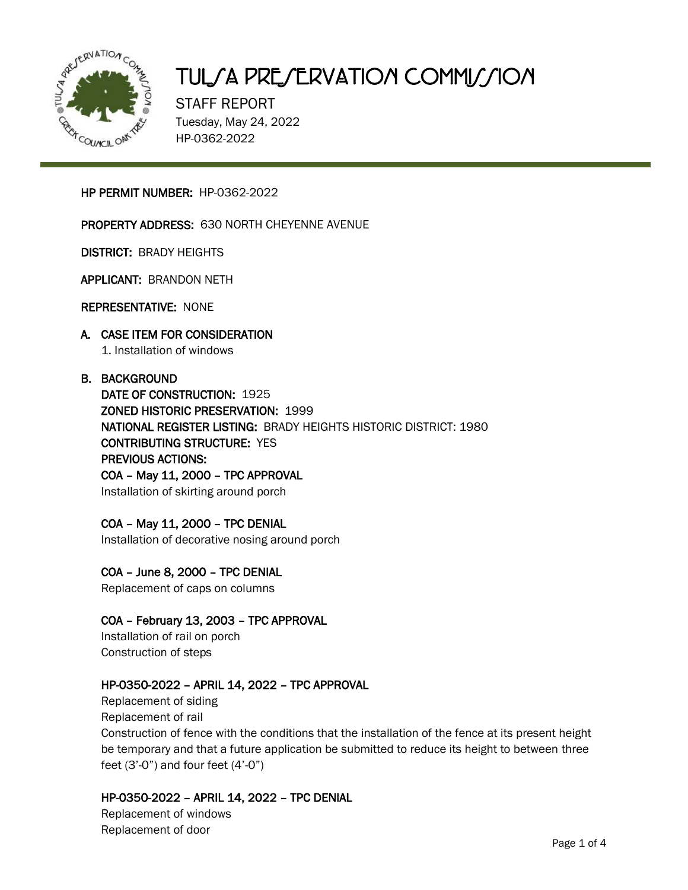

# TUL/A PRE/ERVATION COMMI//ION

STAFF REPORT Tuesday, May 24, 2022 HP-0362-2022

#### HP PERMIT NUMBER: HP-0362-2022

#### PROPERTY ADDRESS: 630 NORTH CHEYENNE AVENUE

DISTRICT: BRADY HEIGHTS

APPLICANT: BRANDON NETH

REPRESENTATIVE: NONE

#### A. CASE ITEM FOR CONSIDERATION 1. Installation of windows

#### B. BACKGROUND

DATE OF CONSTRUCTION: 1925 ZONED HISTORIC PRESERVATION: 1999 NATIONAL REGISTER LISTING: BRADY HEIGHTS HISTORIC DISTRICT: 1980 CONTRIBUTING STRUCTURE: YES PREVIOUS ACTIONS: COA – May 11, 2000 – TPC APPROVAL Installation of skirting around porch

#### COA – May 11, 2000 – TPC DENIAL

Installation of decorative nosing around porch

### COA – June 8, 2000 – TPC DENIAL

Replacement of caps on columns

### COA – February 13, 2003 – TPC APPROVAL

Installation of rail on porch Construction of steps

#### HP-0350-2022 – APRIL 14, 2022 – TPC APPROVAL

Replacement of siding Replacement of rail Construction of fence with the conditions that the installation of the fence at its present height be temporary and that a future application be submitted to reduce its height to between three feet  $(3'-0'')$  and four feet  $(4'-0'')$ 

#### HP-0350-2022 – APRIL 14, 2022 – TPC DENIAL

Replacement of windows Replacement of door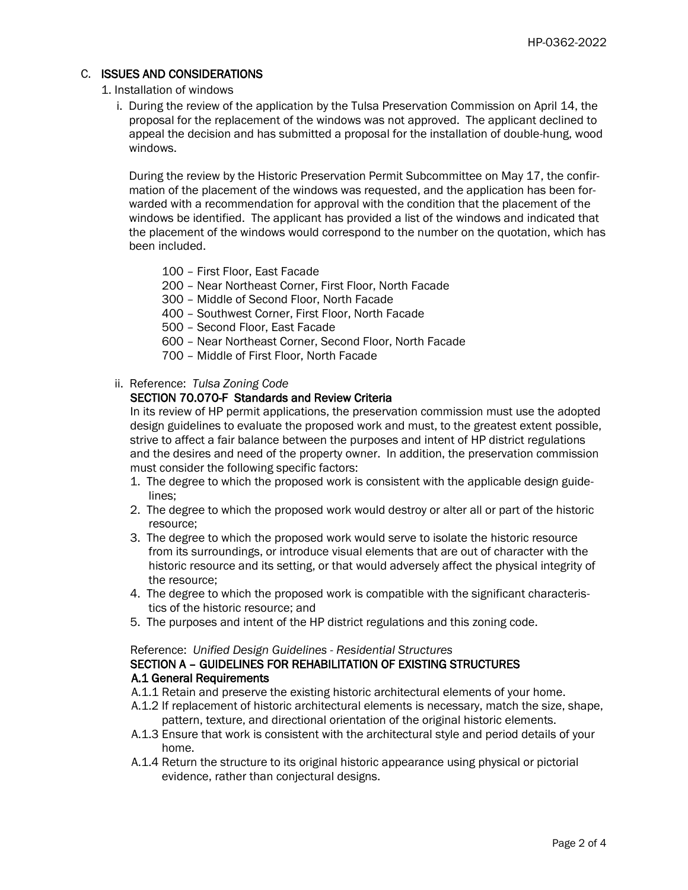#### C. ISSUES AND CONSIDERATIONS

#### 1. Installation of windows

 i. During the review of the application by the Tulsa Preservation Commission on April 14, the proposal for the replacement of the windows was not approved. The applicant declined to appeal the decision and has submitted a proposal for the installation of double-hung, wood windows.

 During the review by the Historic Preservation Permit Subcommittee on May 17, the confir mation of the placement of the windows was requested, and the application has been for warded with a recommendation for approval with the condition that the placement of the windows be identified. The applicant has provided a list of the windows and indicated that the placement of the windows would correspond to the number on the quotation, which has been included.

- 100 First Floor, East Facade
- 200 Near Northeast Corner, First Floor, North Facade
- 300 Middle of Second Floor, North Facade
- 400 Southwest Corner, First Floor, North Facade
- 500 Second Floor, East Facade
- 600 Near Northeast Corner, Second Floor, North Facade
- 700 Middle of First Floor, North Facade
- ii. Reference: *Tulsa Zoning Code*

#### SECTION 70.070-F Standards and Review Criteria

 In its review of HP permit applications, the preservation commission must use the adopted design guidelines to evaluate the proposed work and must, to the greatest extent possible, strive to affect a fair balance between the purposes and intent of HP district regulations and the desires and need of the property owner. In addition, the preservation commission must consider the following specific factors:

- 1. The degree to which the proposed work is consistent with the applicable design guide lines;
- 2. The degree to which the proposed work would destroy or alter all or part of the historic resource;
- 3. The degree to which the proposed work would serve to isolate the historic resource from its surroundings, or introduce visual elements that are out of character with the historic resource and its setting, or that would adversely affect the physical integrity of the resource;
- 4. The degree to which the proposed work is compatible with the significant characteris tics of the historic resource; and
- 5. The purposes and intent of the HP district regulations and this zoning code.

#### Reference: *Unified Design Guidelines - Residential Structures*

#### SECTION A – GUIDELINES FOR REHABILITATION OF EXISTING STRUCTURES A.1 General Requirements

- A.1.1 Retain and preserve the existing historic architectural elements of your home.
- A.1.2 If replacement of historic architectural elements is necessary, match the size, shape, pattern, texture, and directional orientation of the original historic elements.
- A.1.3 Ensure that work is consistent with the architectural style and period details of your home.
- A.1.4 Return the structure to its original historic appearance using physical or pictorial evidence, rather than conjectural designs.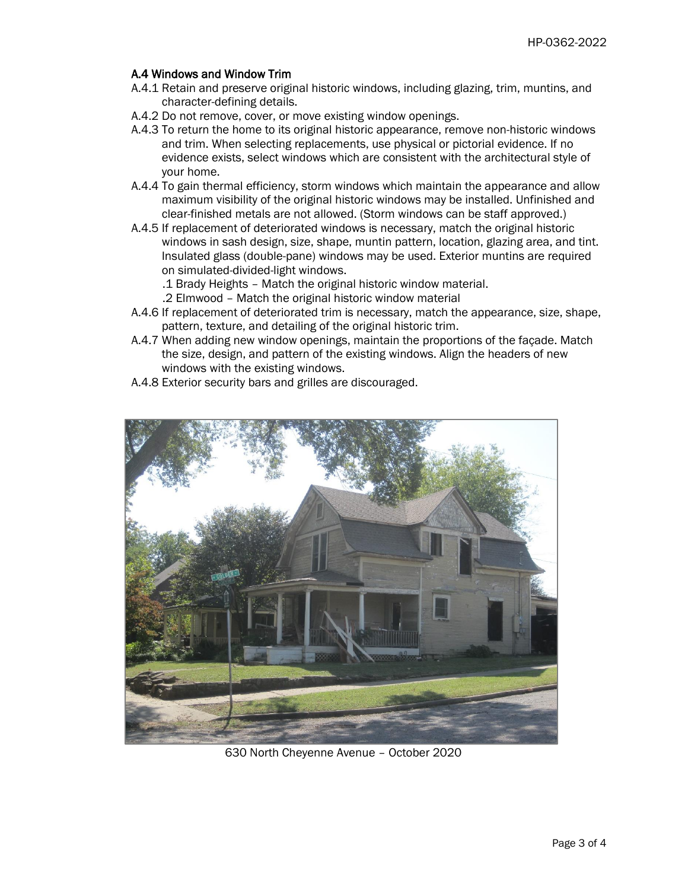#### A.4 Windows and Window Trim

- A.4.1 Retain and preserve original historic windows, including glazing, trim, muntins, and character-defining details.
- A.4.2 Do not remove, cover, or move existing window openings.
- A.4.3 To return the home to its original historic appearance, remove non-historic windows and trim. When selecting replacements, use physical or pictorial evidence. If no evidence exists, select windows which are consistent with the architectural style of your home.
- A.4.4 To gain thermal efficiency, storm windows which maintain the appearance and allow maximum visibility of the original historic windows may be installed. Unfinished and clear-finished metals are not allowed. (Storm windows can be staff approved.)
- A.4.5 If replacement of deteriorated windows is necessary, match the original historic windows in sash design, size, shape, muntin pattern, location, glazing area, and tint. Insulated glass (double-pane) windows may be used. Exterior muntins are required on simulated-divided-light windows.
	- .1 Brady Heights Match the original historic window material.
	- .2 Elmwood Match the original historic window material
- A.4.6 If replacement of deteriorated trim is necessary, match the appearance, size, shape, pattern, texture, and detailing of the original historic trim.
- A.4.7 When adding new window openings, maintain the proportions of the façade. Match the size, design, and pattern of the existing windows. Align the headers of new windows with the existing windows.
- A.4.8 Exterior security bars and grilles are discouraged.



630 North Cheyenne Avenue – October 2020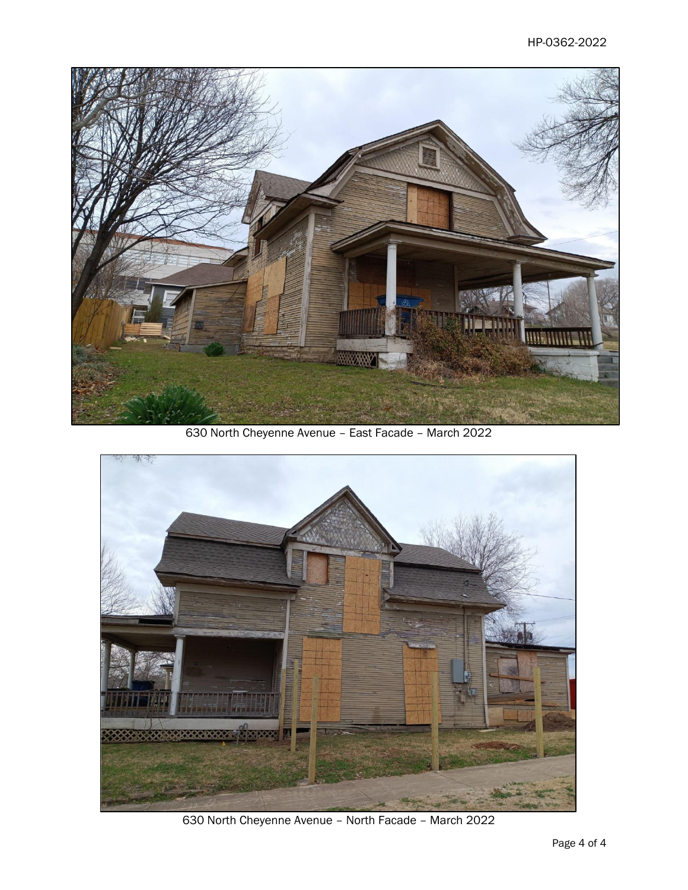

630 North Cheyenne Avenue – East Facade – March 2022



630 North Cheyenne Avenue – North Facade – March 2022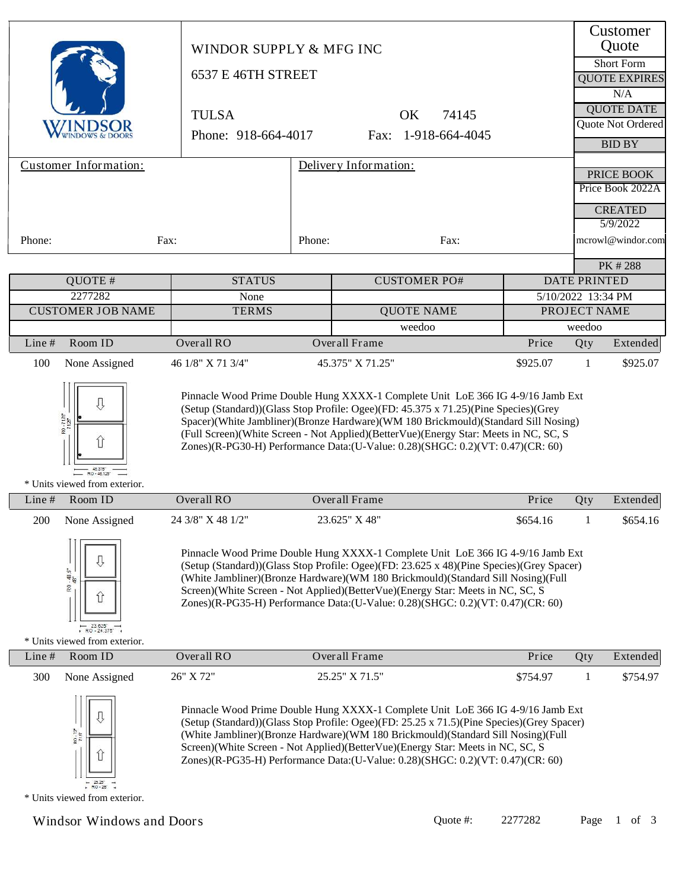|                                                                                                                                                                                                                                                                                                                                                                                                                                                                                                         | WINDOR SUPPLY & MFG INC<br>6537 E 46TH STREET<br><b>TULSA</b><br>Phone: 918-664-4017                                                                                                                                                                                                                                                                                                                                                |        | 74145<br><b>OK</b><br>Fax: 1-918-664-4045                                                                                                                                                                                                                                                                                                                                                                                              |          |                                    | Customer<br>Quote<br><b>Short Form</b><br><b>QUOTE EXPIRES</b><br>N/A<br><b>QUOTE DATE</b><br>Quote Not Ordered<br><b>BID BY</b> |
|---------------------------------------------------------------------------------------------------------------------------------------------------------------------------------------------------------------------------------------------------------------------------------------------------------------------------------------------------------------------------------------------------------------------------------------------------------------------------------------------------------|-------------------------------------------------------------------------------------------------------------------------------------------------------------------------------------------------------------------------------------------------------------------------------------------------------------------------------------------------------------------------------------------------------------------------------------|--------|----------------------------------------------------------------------------------------------------------------------------------------------------------------------------------------------------------------------------------------------------------------------------------------------------------------------------------------------------------------------------------------------------------------------------------------|----------|------------------------------------|----------------------------------------------------------------------------------------------------------------------------------|
| <b>Customer Information:</b>                                                                                                                                                                                                                                                                                                                                                                                                                                                                            |                                                                                                                                                                                                                                                                                                                                                                                                                                     |        | Delivery Information:                                                                                                                                                                                                                                                                                                                                                                                                                  |          |                                    | PRICE BOOK                                                                                                                       |
|                                                                                                                                                                                                                                                                                                                                                                                                                                                                                                         |                                                                                                                                                                                                                                                                                                                                                                                                                                     |        |                                                                                                                                                                                                                                                                                                                                                                                                                                        |          |                                    | Price Book 2022A                                                                                                                 |
|                                                                                                                                                                                                                                                                                                                                                                                                                                                                                                         |                                                                                                                                                                                                                                                                                                                                                                                                                                     |        |                                                                                                                                                                                                                                                                                                                                                                                                                                        |          |                                    | <b>CREATED</b>                                                                                                                   |
|                                                                                                                                                                                                                                                                                                                                                                                                                                                                                                         |                                                                                                                                                                                                                                                                                                                                                                                                                                     |        |                                                                                                                                                                                                                                                                                                                                                                                                                                        |          |                                    | 5/9/2022                                                                                                                         |
| Phone:                                                                                                                                                                                                                                                                                                                                                                                                                                                                                                  | Fax:                                                                                                                                                                                                                                                                                                                                                                                                                                | Phone: | Fax:                                                                                                                                                                                                                                                                                                                                                                                                                                   |          |                                    | mcrowl@windor.com                                                                                                                |
|                                                                                                                                                                                                                                                                                                                                                                                                                                                                                                         |                                                                                                                                                                                                                                                                                                                                                                                                                                     |        |                                                                                                                                                                                                                                                                                                                                                                                                                                        |          |                                    | PK #288                                                                                                                          |
| QUOTE #                                                                                                                                                                                                                                                                                                                                                                                                                                                                                                 | <b>STATUS</b>                                                                                                                                                                                                                                                                                                                                                                                                                       |        | <b>CUSTOMER PO#</b>                                                                                                                                                                                                                                                                                                                                                                                                                    |          | <b>DATE PRINTED</b>                |                                                                                                                                  |
| 2277282<br><b>CUSTOMER JOB NAME</b>                                                                                                                                                                                                                                                                                                                                                                                                                                                                     | None<br><b>TERMS</b>                                                                                                                                                                                                                                                                                                                                                                                                                |        | <b>QUOTE NAME</b>                                                                                                                                                                                                                                                                                                                                                                                                                      |          | 5/10/2022 13:34 PM<br>PROJECT NAME |                                                                                                                                  |
|                                                                                                                                                                                                                                                                                                                                                                                                                                                                                                         |                                                                                                                                                                                                                                                                                                                                                                                                                                     |        | weedoo                                                                                                                                                                                                                                                                                                                                                                                                                                 |          | weedoo                             |                                                                                                                                  |
| Room ID<br>Line#                                                                                                                                                                                                                                                                                                                                                                                                                                                                                        | Overall RO                                                                                                                                                                                                                                                                                                                                                                                                                          |        | Overall Frame                                                                                                                                                                                                                                                                                                                                                                                                                          | Price    | Qty                                | Extended                                                                                                                         |
| 100<br>None Assigned                                                                                                                                                                                                                                                                                                                                                                                                                                                                                    | 46 1/8" X 71 3/4"                                                                                                                                                                                                                                                                                                                                                                                                                   |        | 45.375" X 71.25"                                                                                                                                                                                                                                                                                                                                                                                                                       | \$925.07 | 1                                  | \$925.07                                                                                                                         |
| IJ<br>80-7175<br>îì<br>$-45.375$<br>RO - 46.125<br>* Units viewed from exterior.                                                                                                                                                                                                                                                                                                                                                                                                                        |                                                                                                                                                                                                                                                                                                                                                                                                                                     |        | Pinnacle Wood Prime Double Hung XXXX-1 Complete Unit LoE 366 IG 4-9/16 Jamb Ext<br>(Setup (Standard))(Glass Stop Profile: Ogee)(FD: 45.375 x 71.25)(Pine Species)(Grey<br>Spacer)(White Jambliner)(Bronze Hardware)(WM 180 Brickmould)(Standard Sill Nosing)<br>(Full Screen)(White Screen - Not Applied)(BetterVue)(Energy Star: Meets in NC, SC, S<br>Zones)(R-PG30-H) Performance Data:(U-Value: 0.28)(SHGC: 0.2)(VT: 0.47)(CR: 60) |          |                                    |                                                                                                                                  |
| Room ID<br>Line#                                                                                                                                                                                                                                                                                                                                                                                                                                                                                        | Overall RO                                                                                                                                                                                                                                                                                                                                                                                                                          |        | Overall Frame                                                                                                                                                                                                                                                                                                                                                                                                                          | Price    | Qty                                | Extended                                                                                                                         |
| 200 None Assigned                                                                                                                                                                                                                                                                                                                                                                                                                                                                                       | 24 3/8" X 48 1/2"                                                                                                                                                                                                                                                                                                                                                                                                                   |        | 23.625" X 48"                                                                                                                                                                                                                                                                                                                                                                                                                          | \$654.16 | $\overline{1}$                     | \$654.16                                                                                                                         |
| $-48.5$ "<br>6S<br>íř<br>$RO - 24.375$                                                                                                                                                                                                                                                                                                                                                                                                                                                                  | Pinnacle Wood Prime Double Hung XXXX-1 Complete Unit LoE 366 IG 4-9/16 Jamb Ext<br>(Setup (Standard))(Glass Stop Profile: Ogee)(FD: 23.625 x 48)(Pine Species)(Grey Spacer)<br>(White Jambliner)(Bronze Hardware)(WM 180 Brickmould)(Standard Sill Nosing)(Full<br>Screen)(White Screen - Not Applied)(BetterVue)(Energy Star: Meets in NC, SC, S<br>Zones)(R-PG35-H) Performance Data:(U-Value: 0.28)(SHGC: 0.2)(VT: 0.47)(CR: 60) |        |                                                                                                                                                                                                                                                                                                                                                                                                                                        |          |                                    |                                                                                                                                  |
| * Units viewed from exterior.<br>Line#<br>Room ID                                                                                                                                                                                                                                                                                                                                                                                                                                                       | Overall RO                                                                                                                                                                                                                                                                                                                                                                                                                          |        | Overall Frame                                                                                                                                                                                                                                                                                                                                                                                                                          | Price    | Qty                                | Extended                                                                                                                         |
| 300<br>None Assigned                                                                                                                                                                                                                                                                                                                                                                                                                                                                                    | 26" X 72"                                                                                                                                                                                                                                                                                                                                                                                                                           |        | 25.25" X 71.5"                                                                                                                                                                                                                                                                                                                                                                                                                         | \$754.97 | 1                                  | \$754.97                                                                                                                         |
| Pinnacle Wood Prime Double Hung XXXX-1 Complete Unit LoE 366 IG 4-9/16 Jamb Ext<br>(Setup (Standard))(Glass Stop Profile: Ogee)(FD: 25.25 x 71.5)(Pine Species)(Grey Spacer)<br>RO-72<br>(White Jambliner)(Bronze Hardware)(WM 180 Brickmould)(Standard Sill Nosing)(Full<br>Screen)(White Screen - Not Applied)(BetterVue)(Energy Star: Meets in NC, SC, S<br>Zones)(R-PG35-H) Performance Data:(U-Value: 0.28)(SHGC: 0.2)(VT: 0.47)(CR: 60)<br>$-25.25$<br>$-$ RO-25<br>* Units viewed from exterior. |                                                                                                                                                                                                                                                                                                                                                                                                                                     |        |                                                                                                                                                                                                                                                                                                                                                                                                                                        |          |                                    |                                                                                                                                  |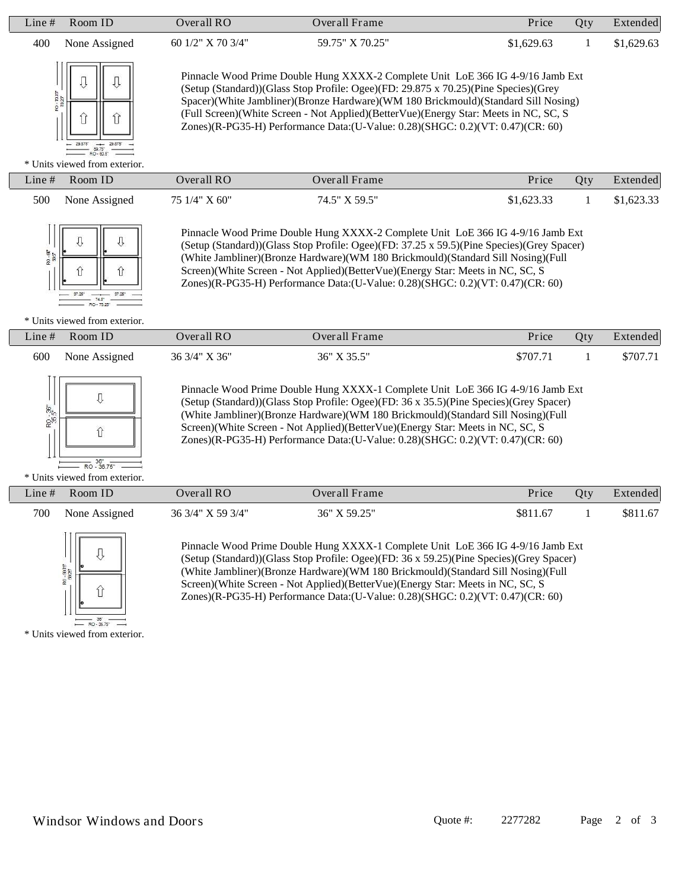| Room ID<br>Line $#$                                               | Overall $RO$            | Overall Frame                                                                                                                                                                                                                                                                                                                                                                                                                          | Price      | Qty | Extended   |
|-------------------------------------------------------------------|-------------------------|----------------------------------------------------------------------------------------------------------------------------------------------------------------------------------------------------------------------------------------------------------------------------------------------------------------------------------------------------------------------------------------------------------------------------------------|------------|-----|------------|
| 400<br>None Assigned                                              | 60 $1/2$ " X 70 $3/4$ " | 59.75" X 70.25"                                                                                                                                                                                                                                                                                                                                                                                                                        | \$1,629.63 |     | \$1,629.63 |
| SZ01-08<br>$-29.875$<br>RO-60.5"<br>* Units viewed from exterior. |                         | Pinnacle Wood Prime Double Hung XXXX-2 Complete Unit LoE 366 IG 4-9/16 Jamb Ext<br>(Setup (Standard))(Glass Stop Profile: Ogee)(FD: 29.875 x 70.25)(Pine Species)(Grey<br>Spacer)(White Jambliner)(Bronze Hardware)(WM 180 Brickmould)(Standard Sill Nosing)<br>(Full Screen)(White Screen - Not Applied)(BetterVue)(Energy Star: Meets in NC, SC, S<br>Zones)(R-PG35-H) Performance Data:(U-Value: 0.28)(SHGC: 0.2)(VT: 0.47)(CR: 60) |            |     |            |
| Room ID<br>Line $#$                                               | Overall $RO$            | Overall Frame                                                                                                                                                                                                                                                                                                                                                                                                                          | Price      | Qty | Extended   |
| 500<br>None Assigned                                              | 75 1/4" X 60"           | 74.5" X 59.5"                                                                                                                                                                                                                                                                                                                                                                                                                          | \$1,623.33 |     | \$1,623.33 |



Pinnacle Wood Prime Double Hung XXXX-2 Complete Unit LoE 366 IG 4-9/16 Jamb Ext (Setup (Standard))(Glass Stop Profile: Ogee)(FD: 37.25 x 59.5)(Pine Species)(Grey Spacer) (White Jambliner)(Bronze Hardware)(WM 180 Brickmould)(Standard Sill Nosing)(Full Screen)(White Screen - Not Applied)(BetterVue)(Energy Star: Meets in NC, SC, S Zones)(R-PG35-H) Performance Data:(U-Value: 0.28)(SHGC: 0.2)(VT: 0.47)(CR: 60)

#### \* Units viewed from exterior.

|     | Line $#$ Room ID | Overall RO    | Overall Frame   | Price    | Otv | Extended |
|-----|------------------|---------------|-----------------|----------|-----|----------|
| 600 | None Assigned    | 36 3/4" X 36" | $36"$ X $35.5"$ | \$707.71 |     | \$707.71 |



Pinnacle Wood Prime Double Hung XXXX-1 Complete Unit LoE 366 IG 4-9/16 Jamb Ext (Setup (Standard))(Glass Stop Profile: Ogee)(FD: 36 x 35.5)(Pine Species)(Grey Spacer) (White Jambliner)(Bronze Hardware)(WM 180 Brickmould)(Standard Sill Nosing)(Full Screen)(White Screen - Not Applied)(BetterVue)(Energy Star: Meets in NC, SC, S Zones)(R-PG35-H) Performance Data:(U-Value: 0.28)(SHGC: 0.2)(VT: 0.47)(CR: 60)

\* Units viewed from exterior.

| Line # | Room ID       | Overall RO        | Overall Frame | Price    | Otv | Extended |
|--------|---------------|-------------------|---------------|----------|-----|----------|
| 700    | None Assigned | 36 3/4" X 59 3/4" | 36" X 59.25"  | \$811.67 |     | \$811.67 |



Pinnacle Wood Prime Double Hung XXXX-1 Complete Unit LoE 366 IG 4-9/16 Jamb Ext (Setup (Standard))(Glass Stop Profile: Ogee)(FD: 36 x 59.25)(Pine Species)(Grey Spacer) (White Jambliner)(Bronze Hardware)(WM 180 Brickmould)(Standard Sill Nosing)(Full Screen)(White Screen - Not Applied)(BetterVue)(Energy Star: Meets in NC, SC, S Zones)(R-PG35-H) Performance Data:(U-Value: 0.28)(SHGC: 0.2)(VT: 0.47)(CR: 60)

\* Units viewed from exterior.